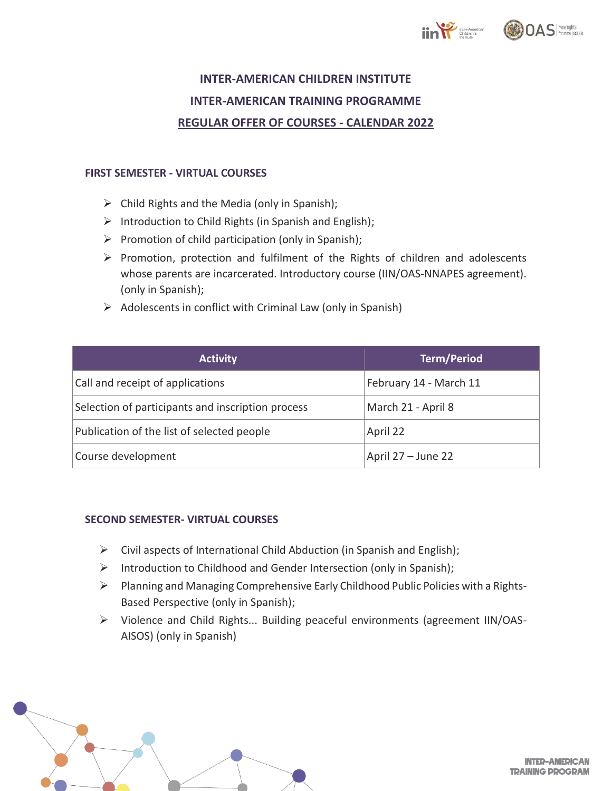



## **INTER-AMERICAN CHILDREN INSTITUTE INTER-AMERICAN TRAINING PROGRAMME REGULAR OFFER OF COURSES - CALENDAR 2022**

## **FIRST SEMESTER - VIRTUAL COURSES**

- $\triangleright$  Child Rights and the Media (only in Spanish);
- $\triangleright$  Introduction to Child Rights (in Spanish and English);
- ➢ Promotion of child participation (only in Spanish);
- ➢ Promotion, protection and fulfilment of the Rights of children and adolescents whose parents are incarcerated. Introductory course (IIN/OAS-NNAPES agreement). (only in Spanish);
- $\triangleright$  Adolescents in conflict with Criminal Law (only in Spanish)

| <b>Activity</b>                                   | <b>Term/Period</b>     |
|---------------------------------------------------|------------------------|
| Call and receipt of applications                  | February 14 - March 11 |
| Selection of participants and inscription process | March 21 - April 8     |
| Publication of the list of selected people        | April 22               |
| Course development                                | April 27 - June 22     |

## **SECOND SEMESTER- VIRTUAL COURSES**

- $\triangleright$  Civil aspects of International Child Abduction (in Spanish and English);
- ➢ Introduction to Childhood and Gender Intersection (only in Spanish);
- ➢ Planning and Managing Comprehensive Early Childhood Public Policies with a Rights-Based Perspective (only in Spanish);
- ➢ Violence and Child Rights... Building peaceful environments (agreement IIN/OAS-AISOS) (only in Spanish)



**INTER-AMERICAN TRAINING PROGRAM**